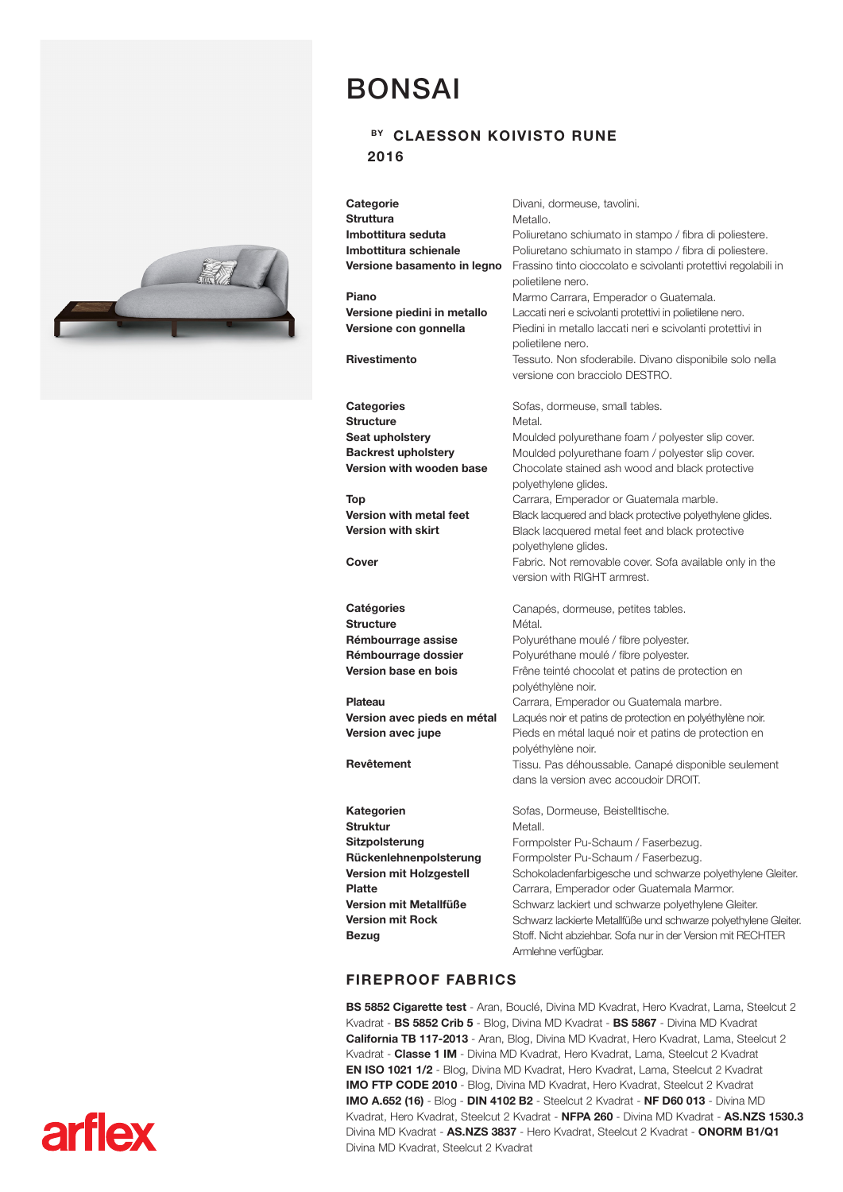

**arflex** 

## BONSAI

## BY CLAESSON KOIVISTO RUNE 2016

| Categorie<br><b>Struttura</b><br>Imbottitura seduta<br>Imbottitura schienale<br>Versione basamento in legno<br>Piano<br>Versione piedini in metallo<br>Versione con gonnella<br><b>Rivestimento</b> | Divani, dormeuse, tavolini.<br>Metallo.<br>Poliuretano schiumato in stampo / fibra di poliestere.<br>Poliuretano schiumato in stampo / fibra di poliestere.<br>Frassino tinto cioccolato e scivolanti protettivi regolabili in<br>polietilene nero.<br>Marmo Carrara, Emperador o Guatemala.<br>Laccati neri e scivolanti protettivi in polietilene nero.<br>Piedini in metallo laccati neri e scivolanti protettivi in<br>polietilene nero.<br>Tessuto. Non sfoderabile. Divano disponibile solo nella<br>versione con bracciolo DESTRO. |
|-----------------------------------------------------------------------------------------------------------------------------------------------------------------------------------------------------|-------------------------------------------------------------------------------------------------------------------------------------------------------------------------------------------------------------------------------------------------------------------------------------------------------------------------------------------------------------------------------------------------------------------------------------------------------------------------------------------------------------------------------------------|
| <b>Categories</b>                                                                                                                                                                                   | Sofas, dormeuse, small tables.                                                                                                                                                                                                                                                                                                                                                                                                                                                                                                            |
| <b>Structure</b>                                                                                                                                                                                    | Metal.                                                                                                                                                                                                                                                                                                                                                                                                                                                                                                                                    |
| Seat upholstery                                                                                                                                                                                     | Moulded polyurethane foam / polyester slip cover.                                                                                                                                                                                                                                                                                                                                                                                                                                                                                         |
| <b>Backrest upholstery</b>                                                                                                                                                                          | Moulded polyurethane foam / polyester slip cover.                                                                                                                                                                                                                                                                                                                                                                                                                                                                                         |
| Version with wooden base                                                                                                                                                                            | Chocolate stained ash wood and black protective<br>polyethylene glides.                                                                                                                                                                                                                                                                                                                                                                                                                                                                   |
| Top                                                                                                                                                                                                 |                                                                                                                                                                                                                                                                                                                                                                                                                                                                                                                                           |
| Version with metal feet                                                                                                                                                                             | Carrara, Emperador or Guatemala marble.<br>Black lacquered and black protective polyethylene glides.                                                                                                                                                                                                                                                                                                                                                                                                                                      |
| <b>Version with skirt</b>                                                                                                                                                                           | Black lacquered metal feet and black protective                                                                                                                                                                                                                                                                                                                                                                                                                                                                                           |
|                                                                                                                                                                                                     | polyethylene glides.                                                                                                                                                                                                                                                                                                                                                                                                                                                                                                                      |
| Cover                                                                                                                                                                                               | Fabric. Not removable cover. Sofa available only in the                                                                                                                                                                                                                                                                                                                                                                                                                                                                                   |
|                                                                                                                                                                                                     | version with RIGHT armrest.                                                                                                                                                                                                                                                                                                                                                                                                                                                                                                               |
| Catégories                                                                                                                                                                                          | Canapés, dormeuse, petites tables.                                                                                                                                                                                                                                                                                                                                                                                                                                                                                                        |
| <b>Structure</b>                                                                                                                                                                                    | Métal.                                                                                                                                                                                                                                                                                                                                                                                                                                                                                                                                    |
| Rémbourrage assise                                                                                                                                                                                  | Polyuréthane moulé / fibre polyester.                                                                                                                                                                                                                                                                                                                                                                                                                                                                                                     |
| Rémbourrage dossier                                                                                                                                                                                 | Polyuréthane moulé / fibre polyester.                                                                                                                                                                                                                                                                                                                                                                                                                                                                                                     |
| Version base en bois                                                                                                                                                                                | Frêne teinté chocolat et patins de protection en                                                                                                                                                                                                                                                                                                                                                                                                                                                                                          |
|                                                                                                                                                                                                     | polyéthylène noir.                                                                                                                                                                                                                                                                                                                                                                                                                                                                                                                        |
| Plateau                                                                                                                                                                                             | Carrara, Emperador ou Guatemala marbre.                                                                                                                                                                                                                                                                                                                                                                                                                                                                                                   |
| Version avec pieds en métal                                                                                                                                                                         | Laqués noir et patins de protection en polyéthylène noir.                                                                                                                                                                                                                                                                                                                                                                                                                                                                                 |
| Version avec jupe                                                                                                                                                                                   | Pieds en métal laqué noir et patins de protection en                                                                                                                                                                                                                                                                                                                                                                                                                                                                                      |
|                                                                                                                                                                                                     | polyéthylène noir.                                                                                                                                                                                                                                                                                                                                                                                                                                                                                                                        |
| Revêtement                                                                                                                                                                                          | Tissu. Pas déhoussable. Canapé disponible seulement                                                                                                                                                                                                                                                                                                                                                                                                                                                                                       |
|                                                                                                                                                                                                     | dans la version avec accoudoir DROIT.                                                                                                                                                                                                                                                                                                                                                                                                                                                                                                     |
| Kategorien                                                                                                                                                                                          | Sofas, Dormeuse, Beistelltische.                                                                                                                                                                                                                                                                                                                                                                                                                                                                                                          |
| <b>Struktur</b>                                                                                                                                                                                     | Metall.                                                                                                                                                                                                                                                                                                                                                                                                                                                                                                                                   |
| Sitzpolsterung                                                                                                                                                                                      | Formpolster Pu-Schaum / Faserbezug.                                                                                                                                                                                                                                                                                                                                                                                                                                                                                                       |
| Rückenlehnenpolsterung                                                                                                                                                                              | Formpolster Pu-Schaum / Faserbezug.                                                                                                                                                                                                                                                                                                                                                                                                                                                                                                       |
| Version mit Holzgestell                                                                                                                                                                             | Schokoladenfarbigesche und schwarze polyethylene Gleiter.                                                                                                                                                                                                                                                                                                                                                                                                                                                                                 |
| <b>Platte</b>                                                                                                                                                                                       | Carrara, Emperador oder Guatemala Marmor.                                                                                                                                                                                                                                                                                                                                                                                                                                                                                                 |
| Version mit Metallfüße                                                                                                                                                                              | Schwarz lackiert und schwarze polyethylene Gleiter.                                                                                                                                                                                                                                                                                                                                                                                                                                                                                       |
| <b>Version mit Rock</b>                                                                                                                                                                             | Schwarz lackierte Metallfüße und schwarze polyethylene Gleiter.                                                                                                                                                                                                                                                                                                                                                                                                                                                                           |
| <b>Bezug</b>                                                                                                                                                                                        | Stoff. Nicht abziehbar. Sofa nur in der Version mit RECHTER                                                                                                                                                                                                                                                                                                                                                                                                                                                                               |
|                                                                                                                                                                                                     | Armlehne verfügbar.                                                                                                                                                                                                                                                                                                                                                                                                                                                                                                                       |

## FIREPROOF FABRICS

BS 5852 Cigarette test - Aran, Bouclé, Divina MD Kvadrat, Hero Kvadrat, Lama, Steelcut 2 Kvadrat - BS 5852 Crib 5 - Blog, Divina MD Kvadrat - BS 5867 - Divina MD Kvadrat California TB 117-2013 - Aran, Blog, Divina MD Kvadrat, Hero Kvadrat, Lama, Steelcut 2 Kvadrat - Classe 1 IM - Divina MD Kvadrat, Hero Kvadrat, Lama, Steelcut 2 Kvadrat EN ISO 1021 1/2 - Blog, Divina MD Kvadrat, Hero Kvadrat, Lama, Steelcut 2 Kvadrat IMO FTP CODE 2010 - Blog, Divina MD Kvadrat, Hero Kvadrat, Steelcut 2 Kvadrat IMO A.652 (16) - Blog - DIN 4102 B2 - Steelcut 2 Kvadrat - NF D60 013 - Divina MD Kvadrat, Hero Kvadrat, Steelcut 2 Kvadrat - NFPA 260 - Divina MD Kvadrat - AS.NZS 1530.3 Divina MD Kvadrat - AS.NZS 3837 - Hero Kvadrat, Steelcut 2 Kvadrat - ONORM B1/Q1 Divina MD Kvadrat, Steelcut 2 Kvadrat